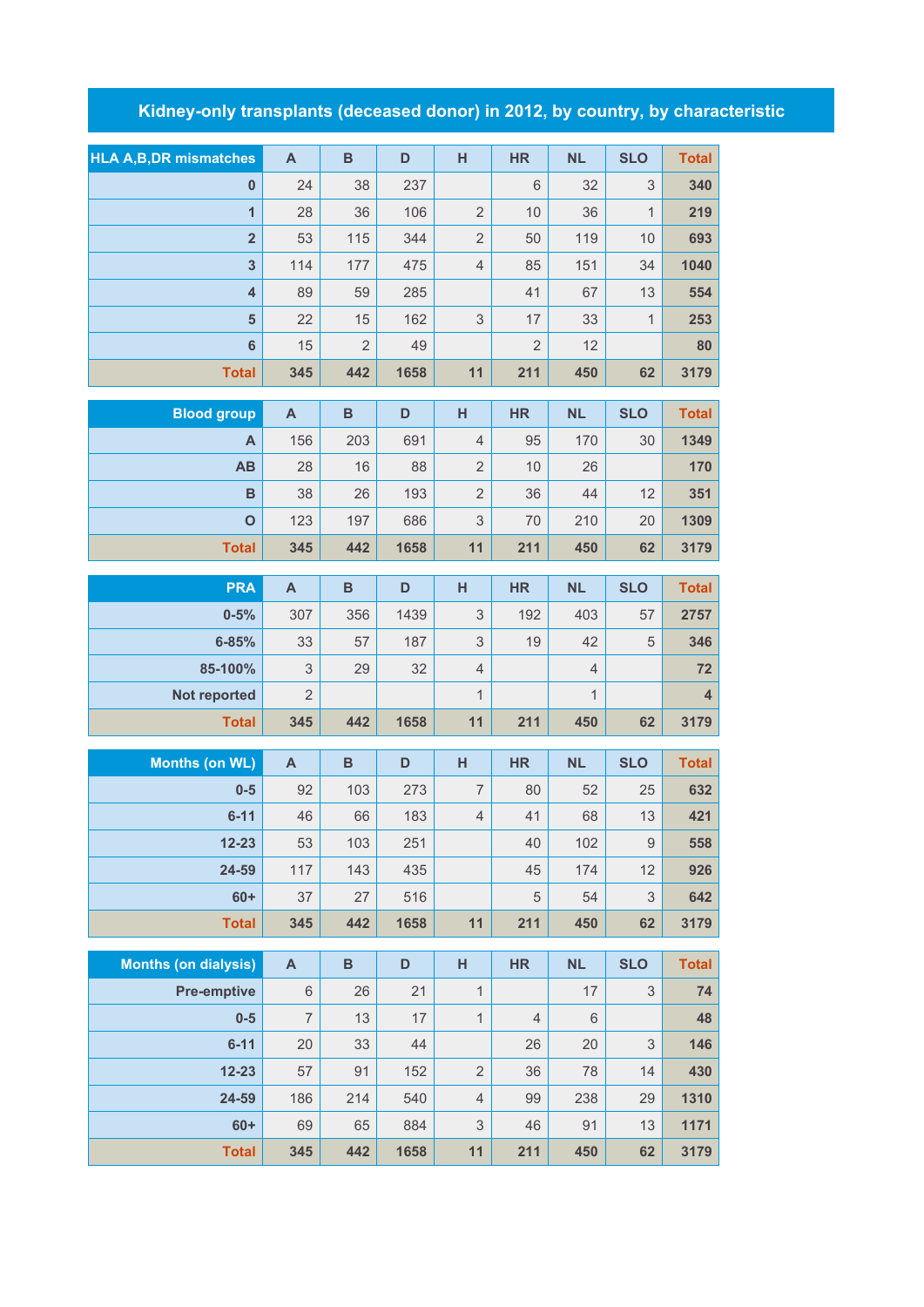## **Kidney-only transplants (deceased donor) in 2012, by country, by characteristic**

| <b>HLA A,B,DR mismatches</b> | $\mathsf{A}$              | $\, {\bf B}$            | D    | H                         | <b>HR</b>      | <b>NL</b>      | <b>SLO</b>   | <b>Total</b>            |
|------------------------------|---------------------------|-------------------------|------|---------------------------|----------------|----------------|--------------|-------------------------|
| $\pmb{0}$                    | 24                        | 38                      | 237  |                           | $6\phantom{1}$ | 32             | 3            | 340                     |
| $\overline{1}$               | 28                        | 36                      | 106  | $\overline{2}$            | 10             | 36             | $\mathbf{1}$ | 219                     |
| $\overline{\mathbf{2}}$      | 53                        | 115                     | 344  | $\overline{2}$            | 50             | 119            | 10           | 693                     |
| $\overline{\mathbf{3}}$      | 114                       | 177                     | 475  | $\overline{4}$            | 85             | 151            | 34           | 1040                    |
| $\overline{\mathbf{4}}$      | 89                        | 59                      | 285  |                           | 41             | 67             | 13           | 554                     |
| 5                            | 22                        | 15                      | 162  | 3                         | 17             | 33             | $\mathbf{1}$ | 253                     |
| $6\phantom{1}6$              | 15                        | $\overline{2}$          | 49   |                           | $\overline{2}$ | 12             |              | 80                      |
| <b>Total</b>                 | 345                       | 442                     | 1658 | 11                        | 211            | 450            | 62           | 3179                    |
| <b>Blood group</b>           | $\mathsf{A}$              | $\, {\bf B}$            | D    | H                         | <b>HR</b>      | <b>NL</b>      | <b>SLO</b>   | <b>Total</b>            |
| A                            | 156                       | 203                     | 691  | $\overline{4}$            | 95             | 170            | 30           | 1349                    |
| AB                           | 28                        | 16                      | 88   | $\overline{2}$            | 10             | 26             |              | 170                     |
| B                            | 38                        | 26                      | 193  | $\overline{2}$            | 36             | 44             | 12           | 351                     |
| $\mathbf{o}$                 | 123                       | 197                     | 686  | 3                         | 70             | 210            | 20           | 1309                    |
| <b>Total</b>                 | 345                       | 442                     | 1658 | 11                        | 211            | 450            | 62           | 3179                    |
| <b>PRA</b>                   |                           | $\overline{\mathsf{B}}$ | D    | H                         |                |                |              |                         |
|                              | A                         |                         |      |                           | <b>HR</b>      | <b>NL</b>      | <b>SLO</b>   | <b>Total</b>            |
| $0 - 5%$                     | 307                       | 356                     | 1439 | 3                         | 192            | 403            | 57           | 2757                    |
| $6 - 85%$                    | 33                        | 57                      | 187  | 3                         | 19             | 42             | 5            | 346                     |
| 85-100%                      | $\ensuremath{\mathsf{3}}$ | 29                      | 32   | $\overline{4}$            |                | $\overline{4}$ |              | 72                      |
| Not reported                 | $\overline{2}$            |                         |      | $\mathbf{1}$              |                | $\mathbf{1}$   |              | $\overline{\mathbf{4}}$ |
| <b>Total</b>                 | 345                       | 442                     | 1658 | 11                        | 211            | 450            | 62           | 3179                    |
| <b>Months (on WL)</b>        | $\boldsymbol{\mathsf{A}}$ | $\overline{B}$          | D    | H                         | <b>HR</b>      | <b>NL</b>      | <b>SLO</b>   | <b>Total</b>            |
| $0-5$                        | 92                        | 103                     | 273  | $\overline{7}$            | 80             | 52             | 25           | 632                     |
| $6 - 11$                     | 46                        | 66                      | 183  | $\overline{4}$            | 41             | 68             | 13           | 421                     |
| $12 - 23$                    | 53                        | 103                     | 251  |                           | 40             | 102            | 9            | 558                     |
| 24-59                        | 117                       | 143                     | 435  |                           | 45             | 174            | 12           | 926                     |
| $60+$                        | 37                        | 27                      | 516  |                           | 5              | 54             | $\mathsf 3$  | 642                     |
| <b>Total</b>                 | 345                       | 442                     | 1658 | 11                        | 211            | 450            | 62           | 3179                    |
| <b>Months (on dialysis)</b>  | $\mathsf{A}$              | $\, {\bf B}$            | D    | н                         | <b>HR</b>      | <b>NL</b>      | <b>SLO</b>   | <b>Total</b>            |
| <b>Pre-emptive</b>           | $6\,$                     | 26                      | 21   | $\mathbf{1}$              |                | 17             | $\mathsf 3$  | 74                      |
| $0-5$                        | $\overline{7}$            | 13                      | 17   | $\mathbf{1}$              | $\overline{4}$ | 6              |              | 48                      |
| $6 - 11$                     | 20                        | 33                      | 44   |                           | 26             | 20             | 3            | 146                     |
| $12 - 23$                    | 57                        | 91                      | 152  | $\overline{2}$            | 36             | 78             | 14           | 430                     |
| 24-59                        | 186                       | 214                     | 540  | $\overline{4}$            | 99             | 238            | 29           | 1310                    |
| $60+$                        | 69                        | 65                      | 884  | $\ensuremath{\mathsf{3}}$ | 46             | 91             | 13           | 1171                    |
| <b>Total</b>                 | 345                       | 442                     | 1658 | 11                        | 211            | 450            | 62           | 3179                    |